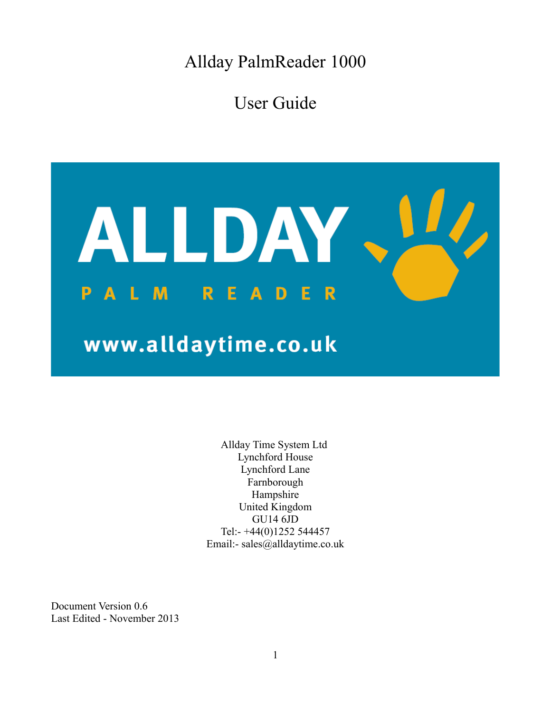Allday PalmReader 1000

User Guide



Allday Time System Ltd Lynchford House Lynchford Lane Farnborough Hampshire United Kingdom GU14 6JD Tel:- +44(0)1252 544457 Email:- sales@alldaytime.co.uk

Document Version 0.6 Last Edited - November 2013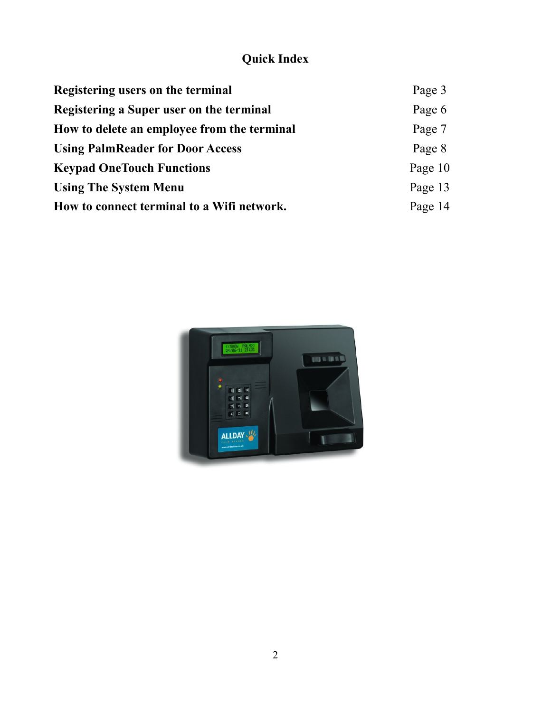# **Quick Index**

| Registering users on the terminal           | Page 3  |
|---------------------------------------------|---------|
| Registering a Super user on the terminal    | Page 6  |
| How to delete an employee from the terminal | Page 7  |
| <b>Using PalmReader for Door Access</b>     | Page 8  |
| <b>Keypad OneTouch Functions</b>            | Page 10 |
| <b>Using The System Menu</b>                | Page 13 |
| How to connect terminal to a Wifi network.  | Page 14 |

<span id="page-1-0"></span>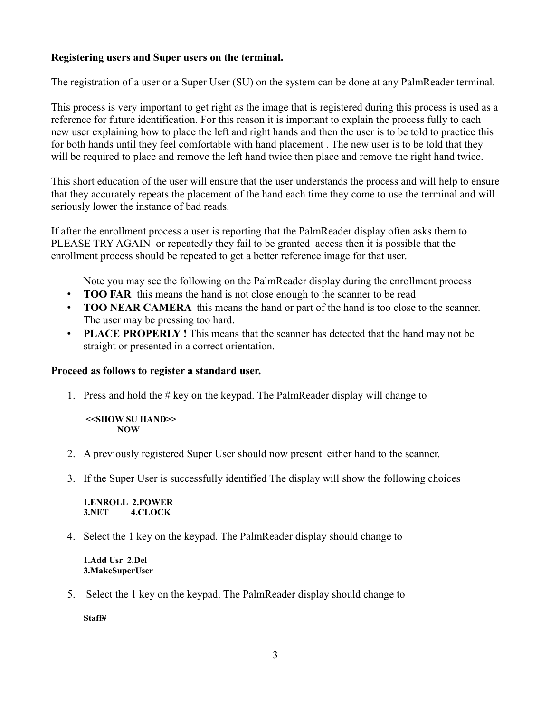### **Registering users and Super users on the terminal.**

The registration of a user or a Super User (SU) on the system can be done at any PalmReader terminal.

This process is very important to get right as the image that is registered during this process is used as a reference for future identification. For this reason it is important to explain the process fully to each new user explaining how to place the left and right hands and then the user is to be told to practice this for both hands until they feel comfortable with hand placement . The new user is to be told that they will be required to place and remove the left hand twice then place and remove the right hand twice.

This short education of the user will ensure that the user understands the process and will help to ensure that they accurately repeats the placement of the hand each time they come to use the terminal and will seriously lower the instance of bad reads.

If after the enrollment process a user is reporting that the PalmReader display often asks them to PLEASE TRY AGAIN or repeatedly they fail to be granted access then it is possible that the enrollment process should be repeated to get a better reference image for that user.

Note you may see the following on the PalmReader display during the enrollment process

- **TOO FAR** this means the hand is not close enough to the scanner to be read
- **TOO NEAR CAMERA** this means the hand or part of the hand is too close to the scanner. The user may be pressing too hard.
- **PLACE PROPERLY !** This means that the scanner has detected that the hand may not be straight or presented in a correct orientation.

### **Proceed as follows to register a standard user.**

1. Press and hold the # key on the keypad. The PalmReader display will change to

 **<<SHOW SU HAND>> NOW**

- 2. A previously registered Super User should now present either hand to the scanner.
- 3. If the Super User is successfully identified The display will show the following choices

**1.ENROLL 2.POWER 3.NET 4.CLOCK**

4. Select the 1 key on the keypad. The PalmReader display should change to

**1.Add Usr 2.Del 3.MakeSuperUser** 

5. Select the 1 key on the keypad. The PalmReader display should change to

**Staff#**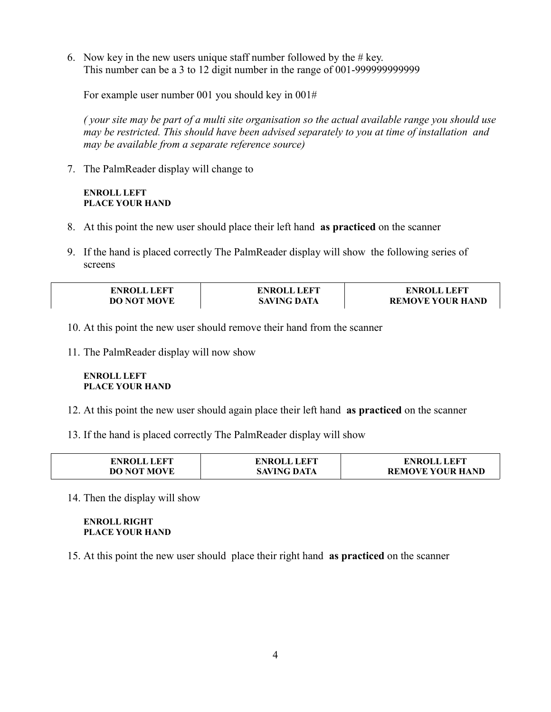6. Now key in the new users unique staff number followed by the  $# \text{key}$ . This number can be a 3 to 12 digit number in the range of 001-999999999999

For example user number 001 you should key in 001#

*( your site may be part of a multi site organisation so the actual available range you should use may be restricted. This should have been advised separately to you at time of installation and may be available from a separate reference source)*

7. The PalmReader display will change to

### **ENROLL LEFT PLACE YOUR HAND**

- 8. At this point the new user should place their left hand **as practiced** on the scanner
- 9. If the hand is placed correctly The PalmReader display will show the following series of screens

| <b>ENROLL LEFT</b> | <b>ENROLL LEFT</b> | <b>ENROLL LEFT</b>      |
|--------------------|--------------------|-------------------------|
| <b>DO NOT MOVE</b> | <b>SAVING DATA</b> | <b>REMOVE YOUR HAND</b> |

- 10. At this point the new user should remove their hand from the scanner
- 11. The PalmReader display will now show

#### **ENROLL LEFT PLACE YOUR HAND**

- 12. At this point the new user should again place their left hand **as practiced** on the scanner
- 13. If the hand is placed correctly The PalmReader display will show

| <b>ENROLL LEFT</b> | <b>ENROLL LEFT</b> | <b>ENROLL LEFT</b>      |
|--------------------|--------------------|-------------------------|
| <b>DO NOT MOVE</b> | <b>SAVING DATA</b> | <b>REMOVE YOUR HAND</b> |

14. Then the display will show

#### **ENROLL RIGHT PLACE YOUR HAND**

15. At this point the new user should place their right hand **as practiced** on the scanner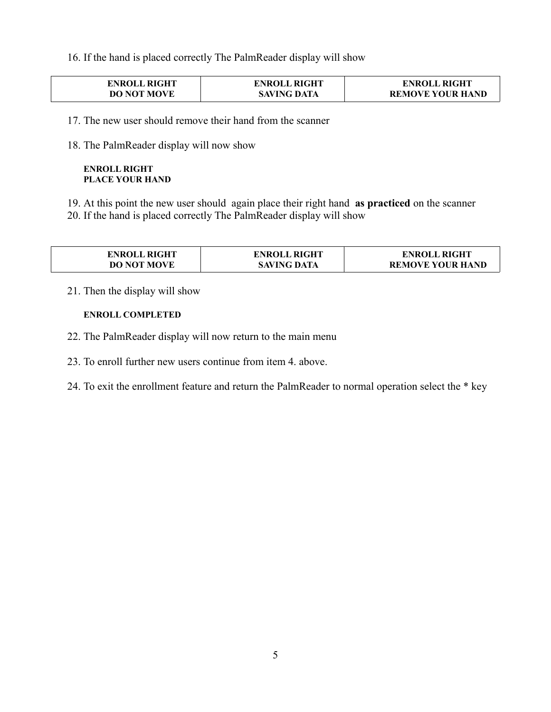16. If the hand is placed correctly The PalmReader display will show

| <b>ENROLL RIGHT</b> | <b>ENROLL RIGHT</b> | <b>ENROLL RIGHT</b>     |
|---------------------|---------------------|-------------------------|
| <b>DO NOT MOVE</b>  | <b>SAVING DATA</b>  | <b>REMOVE YOUR HAND</b> |

17. The new user should remove their hand from the scanner

18. The PalmReader display will now show

#### **ENROLL RIGHT PLACE YOUR HAND**

19. At this point the new user should again place their right hand **as practiced** on the scanner 20. If the hand is placed correctly The PalmReader display will show

| <b>ENROLL RIGHT</b> | <b>ENROLL RIGHT</b> | <b>ENROLL RIGHT</b>     |
|---------------------|---------------------|-------------------------|
| <b>DO NOT MOVE</b>  | <b>SAVING DATA</b>  | <b>REMOVE YOUR HAND</b> |

21. Then the display will show

#### **ENROLL COMPLETED**

- 22. The PalmReader display will now return to the main menu
- 23. To enroll further new users continue from item 4. above.
- 24. To exit the enrollment feature and return the PalmReader to normal operation select the \* key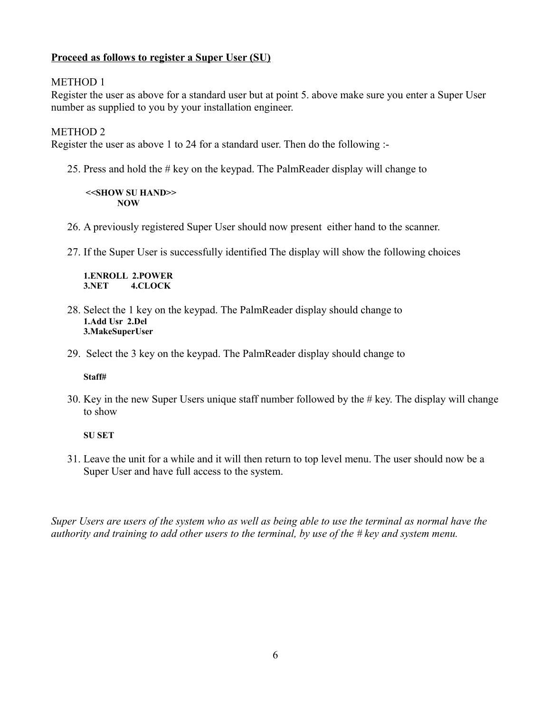### **Proceed as follows to register a Super User (SU)**

### METHOD 1

Register the user as above for a standard user but at point 5. above make sure you enter a Super User number as supplied to you by your installation engineer.

### METHOD 2

Register the user as above 1 to 24 for a standard user. Then do the following :-

25. Press and hold the # key on the keypad. The PalmReader display will change to

 **<<SHOW SU HAND>> NOW**

- 26. A previously registered Super User should now present either hand to the scanner.
- 27. If the Super User is successfully identified The display will show the following choices

**1.ENROLL 2.POWER 3.NET 4.CLOCK**

- 28. Select the 1 key on the keypad. The PalmReader display should change to **1.Add Usr 2.Del 3.MakeSuperUser**
- 29. Select the 3 key on the keypad. The PalmReader display should change to

**Staff#** 

30. Key in the new Super Users unique staff number followed by the # key. The display will change to show

**SU SET**

31. Leave the unit for a while and it will then return to top level menu. The user should now be a Super User and have full access to the system.

*Super Users are users of the system who as well as being able to use the terminal as normal have the authority and training to add other users to the terminal, by use of the # key and system menu.*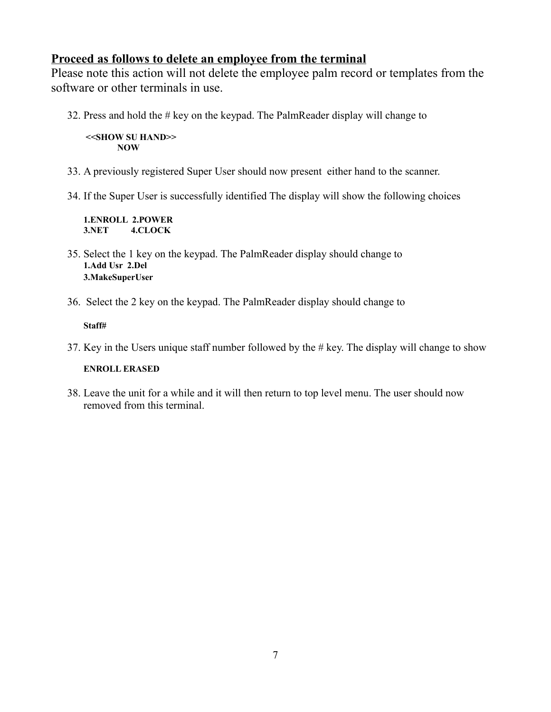# **Proceed as follows to delete an employee from the terminal**

Please note this action will not delete the employee palm record or templates from the software or other terminals in use.

32. Press and hold the # key on the keypad. The PalmReader display will change to

 **<<SHOW SU HAND>> NOW**

- 33. A previously registered Super User should now present either hand to the scanner.
- 34. If the Super User is successfully identified The display will show the following choices

**1.ENROLL 2.POWER 3.NET 4.CLOCK**

- 35. Select the 1 key on the keypad. The PalmReader display should change to **1.Add Usr 2.Del 3.MakeSuperUser**
- 36. Select the 2 key on the keypad. The PalmReader display should change to

### **Staff#**

37. Key in the Users unique staff number followed by the # key. The display will change to show

### **ENROLL ERASED**

38. Leave the unit for a while and it will then return to top level menu. The user should now removed from this terminal.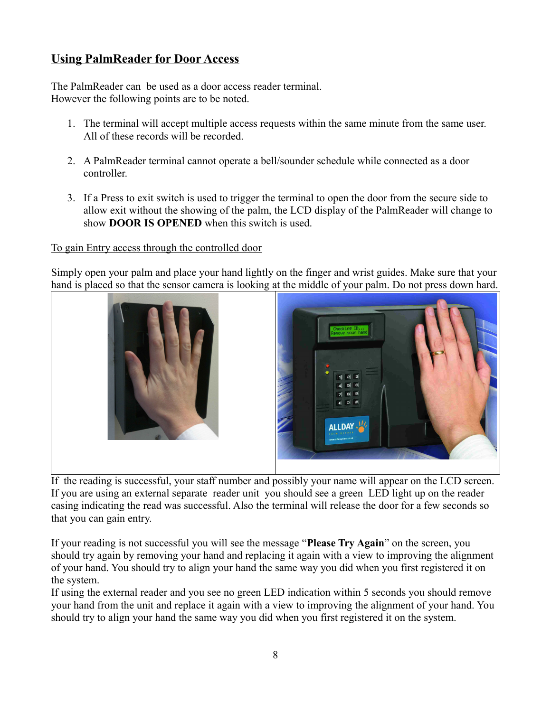# **Using PalmReader for Door Access**

The PalmReader can be used as a door access reader terminal. However the following points are to be noted.

- 1. The terminal will accept multiple access requests within the same minute from the same user. All of these records will be recorded.
- 2. A PalmReader terminal cannot operate a bell/sounder schedule while connected as a door controller.
- 3. If a Press to exit switch is used to trigger the terminal to open the door from the secure side to allow exit without the showing of the palm, the LCD display of the PalmReader will change to show **DOOR IS OPENED** when this switch is used.

### To gain Entry access through the controlled door

Simply open your palm and place your hand lightly on the finger and wrist guides. Make sure that your hand is placed so that the sensor camera is looking at the middle of your palm. Do not press down hard.



If the reading is successful, your staff number and possibly your name will appear on the LCD screen. If you are using an external separate reader unit you should see a green LED light up on the reader casing indicating the read was successful. Also the terminal will release the door for a few seconds so that you can gain entry.

If your reading is not successful you will see the message "**Please Try Again**" on the screen, you should try again by removing your hand and replacing it again with a view to improving the alignment of your hand. You should try to align your hand the same way you did when you first registered it on the system.

If using the external reader and you see no green LED indication within 5 seconds you should remove your hand from the unit and replace it again with a view to improving the alignment of your hand. You should try to align your hand the same way you did when you first registered it on the system.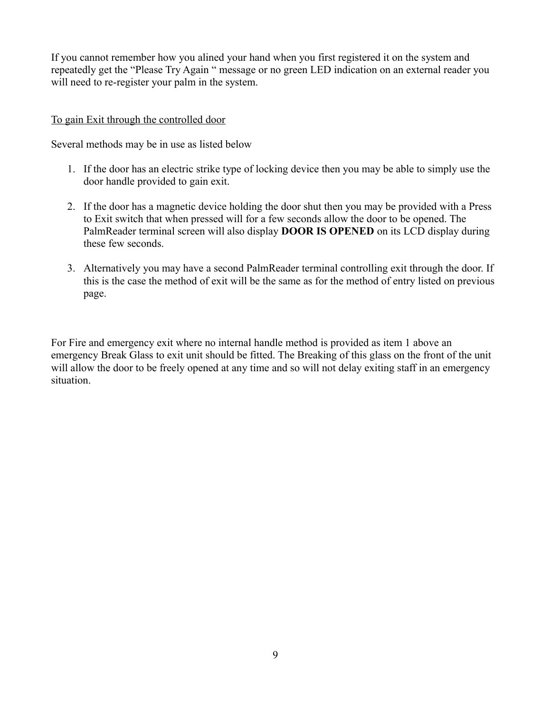If you cannot remember how you alined your hand when you first registered it on the system and repeatedly get the "Please Try Again " message or no green LED indication on an external reader you will need to re-register your palm in the system.

### To gain Exit through the controlled door

Several methods may be in use as listed below

- 1. If the door has an electric strike type of locking device then you may be able to simply use the door handle provided to gain exit.
- 2. If the door has a magnetic device holding the door shut then you may be provided with a Press to Exit switch that when pressed will for a few seconds allow the door to be opened. The PalmReader terminal screen will also display **DOOR IS OPENED** on its LCD display during these few seconds.
- 3. Alternatively you may have a second PalmReader terminal controlling exit through the door. If this is the case the method of exit will be the same as for the method of entry listed on previous page.

For Fire and emergency exit where no internal handle method is provided as item 1 above an emergency Break Glass to exit unit should be fitted. The Breaking of this glass on the front of the unit will allow the door to be freely opened at any time and so will not delay exiting staff in an emergency situation.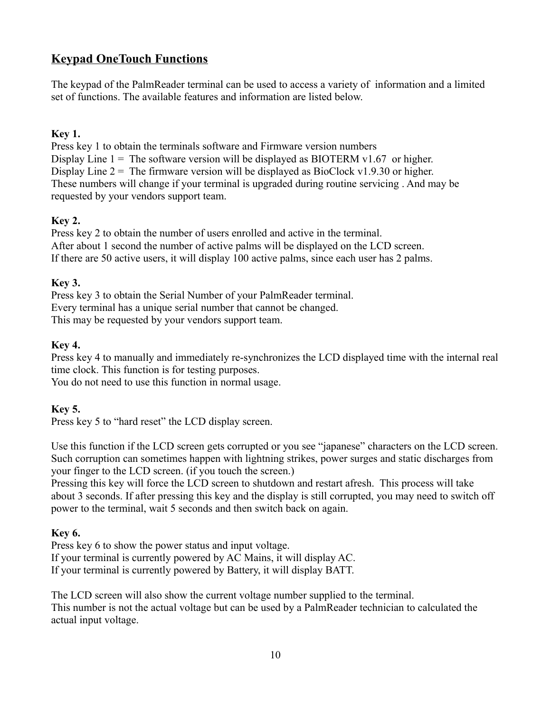# **Keypad OneTouch Functions**

The keypad of the PalmReader terminal can be used to access a variety of information and a limited set of functions. The available features and information are listed below.

# **Key 1.**

Press key 1 to obtain the terminals software and Firmware version numbers Display Line  $1 =$ The software version will be displayed as BIOTERM v1.67 or higher. Display Line  $2 =$  The firmware version will be displayed as BioClock v1.9.30 or higher. These numbers will change if your terminal is upgraded during routine servicing . And may be requested by your vendors support team.

# **Key 2.**

Press key 2 to obtain the number of users enrolled and active in the terminal. After about 1 second the number of active palms will be displayed on the LCD screen. If there are 50 active users, it will display 100 active palms, since each user has 2 palms.

# **Key 3.**

Press key 3 to obtain the Serial Number of your PalmReader terminal. Every terminal has a unique serial number that cannot be changed. This may be requested by your vendors support team.

### **Key 4.**

Press key 4 to manually and immediately re-synchronizes the LCD displayed time with the internal real time clock. This function is for testing purposes.

You do not need to use this function in normal usage.

# **Key 5.**

Press key 5 to "hard reset" the LCD display screen.

Use this function if the LCD screen gets corrupted or you see "japanese" characters on the LCD screen. Such corruption can sometimes happen with lightning strikes, power surges and static discharges from your finger to the LCD screen. (if you touch the screen.)

Pressing this key will force the LCD screen to shutdown and restart afresh. This process will take about 3 seconds. If after pressing this key and the display is still corrupted, you may need to switch off power to the terminal, wait 5 seconds and then switch back on again.

# **Key 6.**

Press key 6 to show the power status and input voltage. If your terminal is currently powered by AC Mains, it will display AC. If your terminal is currently powered by Battery, it will display BATT.

The LCD screen will also show the current voltage number supplied to the terminal. This number is not the actual voltage but can be used by a PalmReader technician to calculated the actual input voltage.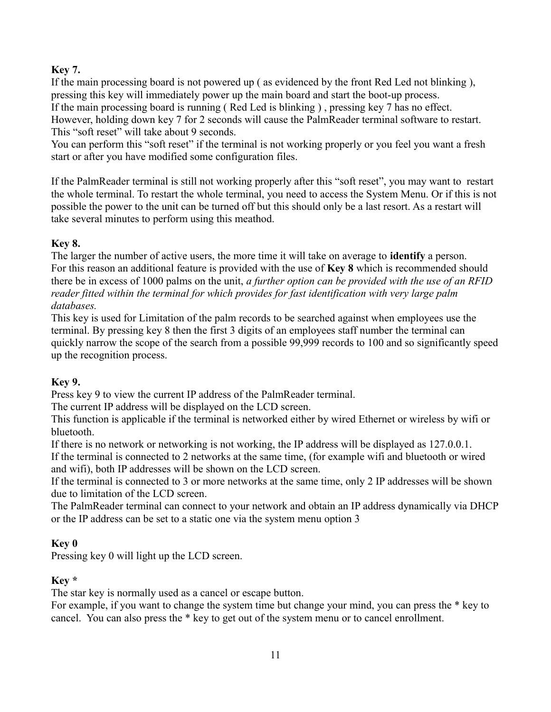# **Key 7.**

If the main processing board is not powered up ( as evidenced by the front Red Led not blinking ), pressing this key will immediately power up the main board and start the boot-up process. If the main processing board is running ( Red Led is blinking ) , pressing key 7 has no effect. However, holding down key 7 for 2 seconds will cause the PalmReader terminal software to restart. This "soft reset" will take about 9 seconds.

You can perform this "soft reset" if the terminal is not working properly or you feel you want a fresh start or after you have modified some configuration files.

If the PalmReader terminal is still not working properly after this "soft reset", you may want to restart the whole terminal. To restart the whole terminal, you need to access the System Menu. Or if this is not possible the power to the unit can be turned off but this should only be a last resort. As a restart will take several minutes to perform using this meathod.

# **Key 8.**

The larger the number of active users, the more time it will take on average to **identify** a person. For this reason an additional feature is provided with the use of **Key 8** which is recommended should there be in excess of 1000 palms on the unit, *a further option can be provided with the use of an RFID reader fitted within the terminal for which provides for fast identification with very large palm databases.*

This key is used for Limitation of the palm records to be searched against when employees use the terminal. By pressing key 8 then the first 3 digits of an employees staff number the terminal can quickly narrow the scope of the search from a possible 99,999 records to 100 and so significantly speed up the recognition process.

# **Key 9.**

Press key 9 to view the current IP address of the PalmReader terminal.

The current IP address will be displayed on the LCD screen.

This function is applicable if the terminal is networked either by wired Ethernet or wireless by wifi or bluetooth.

If there is no network or networking is not working, the IP address will be displayed as 127.0.0.1.

If the terminal is connected to 2 networks at the same time, (for example wifi and bluetooth or wired and wifi), both IP addresses will be shown on the LCD screen.

If the terminal is connected to 3 or more networks at the same time, only 2 IP addresses will be shown due to limitation of the LCD screen.

The PalmReader terminal can connect to your network and obtain an IP address dynamically via DHCP or the IP address can be set to a static one via the system menu option 3

# **Key 0**

Pressing key 0 will light up the LCD screen.

# **Key \***

The star key is normally used as a cancel or escape button.

For example, if you want to change the system time but change your mind, you can press the \* key to cancel. You can also press the \* key to get out of the system menu or to cancel enrollment.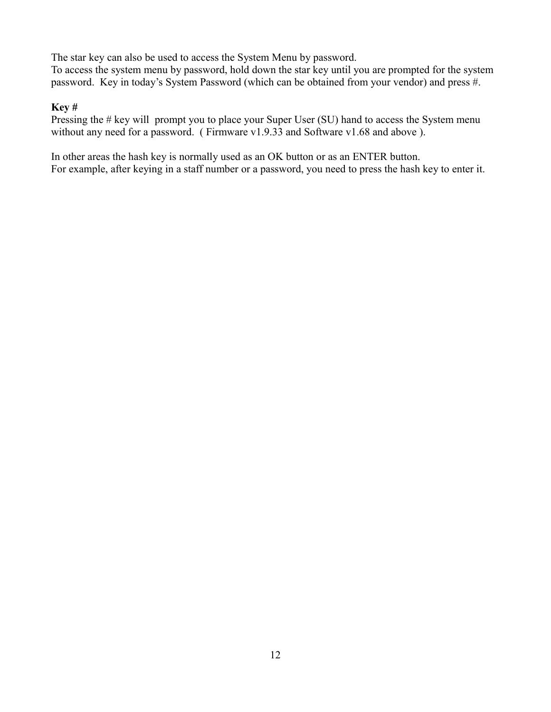The star key can also be used to access the System Menu by password.

To access the system menu by password, hold down the star key until you are prompted for the system password. Key in today's System Password (which can be obtained from your vendor) and press #.

### **Key #**

Pressing the # key will prompt you to place your Super User (SU) hand to access the System menu without any need for a password. ( Firmware v1.9.33 and Software v1.68 and above ).

In other areas the hash key is normally used as an OK button or as an ENTER button. For example, after keying in a staff number or a password, you need to press the hash key to enter it.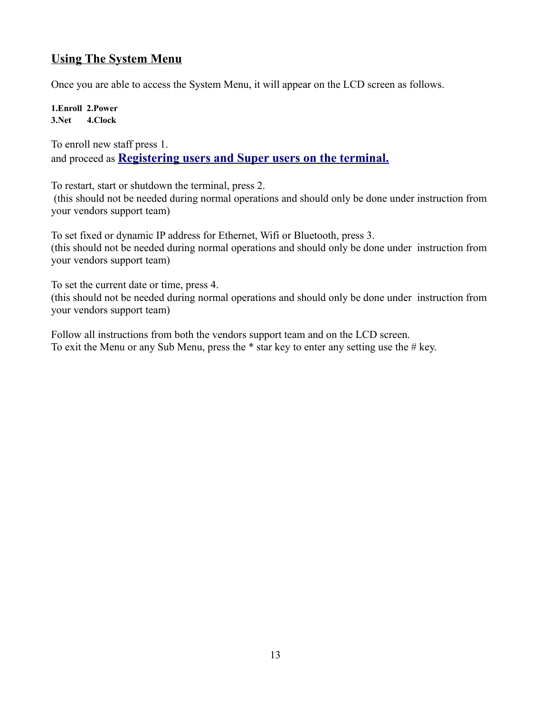# **Using The System Menu**

Once you are able to access the System Menu, it will appear on the LCD screen as follows.

**1.Enroll 2.Power 3.Net 4.Clock** 

To enroll new staff press 1. and proceed as **[Registering users and Super users on the terminal.](#page-1-0)**

To restart, start or shutdown the terminal, press 2.

 (this should not be needed during normal operations and should only be done under instruction from your vendors support team)

To set fixed or dynamic IP address for Ethernet, Wifi or Bluetooth, press 3. (this should not be needed during normal operations and should only be done under instruction from your vendors support team)

To set the current date or time, press 4.

(this should not be needed during normal operations and should only be done under instruction from your vendors support team)

Follow all instructions from both the vendors support team and on the LCD screen. To exit the Menu or any Sub Menu, press the  $*$  star key to enter any setting use the  $#$  key.